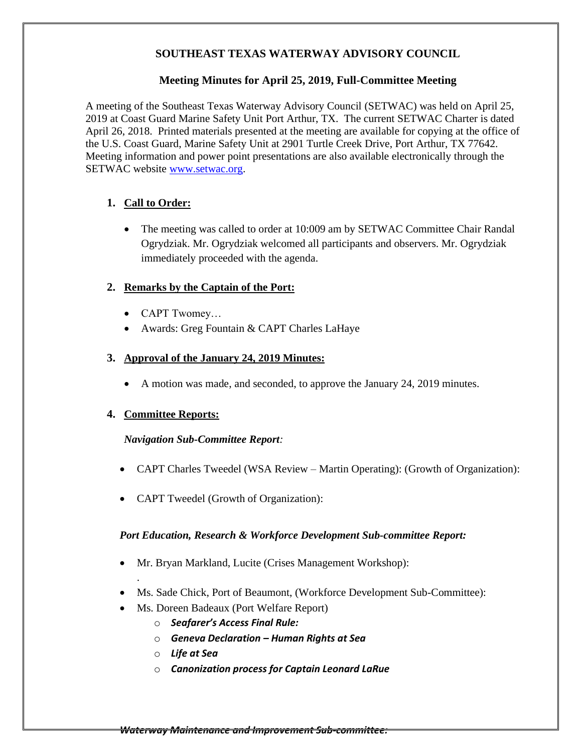## **SOUTHEAST TEXAS WATERWAY ADVISORY COUNCIL**

#### **Meeting Minutes for April 25, 2019, Full-Committee Meeting**

A meeting of the Southeast Texas Waterway Advisory Council (SETWAC) was held on April 25, 2019 at Coast Guard Marine Safety Unit Port Arthur, TX. The current SETWAC Charter is dated April 26, 2018. Printed materials presented at the meeting are available for copying at the office of the U.S. Coast Guard, Marine Safety Unit at 2901 Turtle Creek Drive, Port Arthur, TX 77642. Meeting information and power point presentations are also available electronically through the SETWAC website [www.setwac.org.](http://www.setwac.org/)

## **1. Call to Order:**

• The meeting was called to order at 10:009 am by SETWAC Committee Chair Randal Ogrydziak. Mr. Ogrydziak welcomed all participants and observers. Mr. Ogrydziak immediately proceeded with the agenda.

#### **2. Remarks by the Captain of the Port:**

- CAPT Twomey…
- Awards: Greg Fountain & CAPT Charles LaHaye

#### **3. Approval of the January 24, 2019 Minutes:**

• A motion was made, and seconded, to approve the January 24, 2019 minutes.

#### **4. Committee Reports:**

.

#### *Navigation Sub-Committee Report:*

- CAPT Charles Tweedel (WSA Review Martin Operating): (Growth of Organization):
- CAPT Tweedel (Growth of Organization):

#### *Port Education, Research & Workforce Development Sub-committee Report:*

- Mr. Bryan Markland, Lucite (Crises Management Workshop):
- Ms. Sade Chick, Port of Beaumont, (Workforce Development Sub-Committee):
- Ms. Doreen Badeaux (Port Welfare Report)
	- o *Seafarer's Access Final Rule:*
	- o *Geneva Declaration – Human Rights at Sea*
	- o *Life at Sea*
	- o *Canonization process for Captain Leonard LaRue*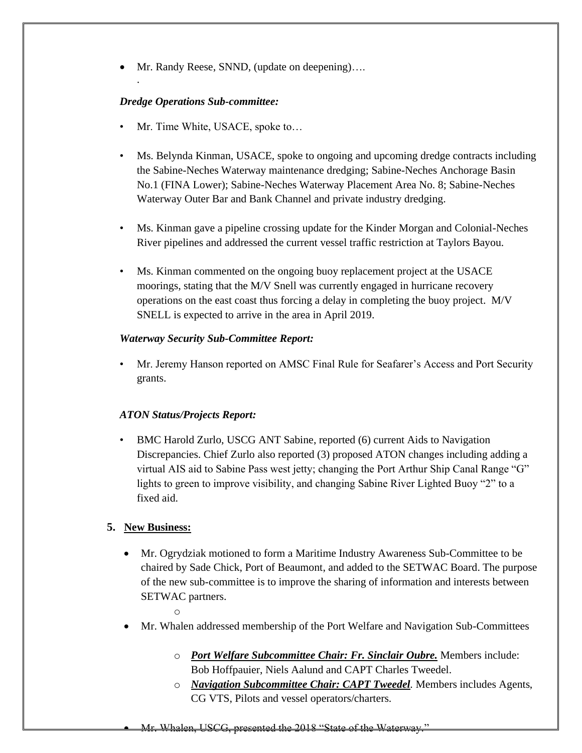• Mr. Randy Reese, SNND, (update on deepening)….

## *Dredge Operations Sub-committee:*

.

- Mr. Time White, USACE, spoke to...
- Ms. Belynda Kinman, USACE, spoke to ongoing and upcoming dredge contracts including the Sabine-Neches Waterway maintenance dredging; Sabine-Neches Anchorage Basin No.1 (FINA Lower); Sabine-Neches Waterway Placement Area No. 8; Sabine-Neches Waterway Outer Bar and Bank Channel and private industry dredging.
- Ms. Kinman gave a pipeline crossing update for the Kinder Morgan and Colonial-Neches River pipelines and addressed the current vessel traffic restriction at Taylors Bayou.
- Ms. Kinman commented on the ongoing buoy replacement project at the USACE moorings, stating that the M/V Snell was currently engaged in hurricane recovery operations on the east coast thus forcing a delay in completing the buoy project. M/V SNELL is expected to arrive in the area in April 2019.

### *Waterway Security Sub-Committee Report:*

• Mr. Jeremy Hanson reported on AMSC Final Rule for Seafarer's Access and Port Security grants.

#### *ATON Status/Projects Report:*

• BMC Harold Zurlo, USCG ANT Sabine, reported (6) current Aids to Navigation Discrepancies. Chief Zurlo also reported (3) proposed ATON changes including adding a virtual AIS aid to Sabine Pass west jetty; changing the Port Arthur Ship Canal Range "G" lights to green to improve visibility, and changing Sabine River Lighted Buoy "2" to a fixed aid.

## **5. New Business:**

- Mr. Ogrydziak motioned to form a Maritime Industry Awareness Sub-Committee to be chaired by Sade Chick, Port of Beaumont, and added to the SETWAC Board. The purpose of the new sub-committee is to improve the sharing of information and interests between SETWAC partners.
	- o
- Mr. Whalen addressed membership of the Port Welfare and Navigation Sub-Committees
	- o *Port Welfare Subcommittee Chair: Fr. Sinclair Oubre.* Members include: Bob Hoffpauier, Niels Aalund and CAPT Charles Tweedel.
	- o *Navigation Subcommittee Chair: CAPT Tweedel.* Members includes Agents, CG VTS, Pilots and vessel operators/charters.